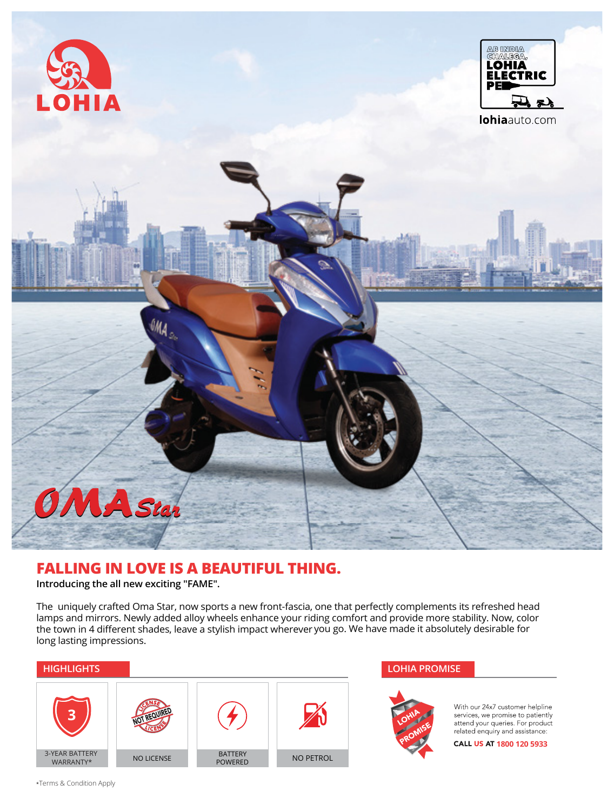

## **FALLING IN LOVE IS A BEAUTIFUL THING.**

**Introducing the all new exciting "FAME".**

The uniquely crafted Oma Star, now sports a new front-fascia, one that perfectly complements its refreshed head lamps and mirrors. Newly added alloy wheels enhance your riding comfort and provide more stability. Now, color the town in 4 different shades, leave a stylish impact wherever you go. We have made it absolutely desirable for long lasting impressions.





With our 24x7 customer helpline services, we promise to patiently<br>attend your queries. For product<br>related enquiry and assistance:

CALL US AT 1800 120 5933